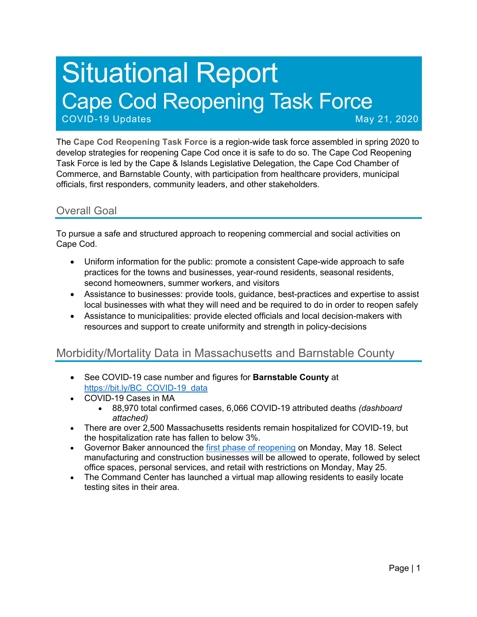# Situational Report Cape Cod Reopening Task Force COVID-19 Updates May 21, 2020

The **Cape Cod Reopening Task Force** is a region-wide task force assembled in spring 2020 to develop strategies for reopening Cape Cod once it is safe to do so. The Cape Cod Reopening Task Force is led by the Cape & Islands Legislative Delegation, the Cape Cod Chamber of Commerce, and Barnstable County, with participation from healthcare providers, municipal officials, first responders, community leaders, and other stakeholders.

#### Overall Goal

To pursue a safe and structured approach to reopening commercial and social activities on Cape Cod.

- Uniform information for the public: promote a consistent Cape-wide approach to safe practices for the towns and businesses, year-round residents, seasonal residents, second homeowners, summer workers, and visitors
- Assistance to businesses: provide tools, guidance, best-practices and expertise to assist local businesses with what they will need and be required to do in order to reopen safely
- Assistance to municipalities: provide elected officials and local decision-makers with resources and support to create uniformity and strength in policy-decisions

#### Morbidity/Mortality Data in Massachusetts and Barnstable County

- See COVID-19 case number and figures for **Barnstable County** at https://bit.ly/BC\_COVID-19\_data
- COVID-19 Cases in MA
	- 88,970 total confirmed cases, 6,066 COVID-19 attributed deaths *(dashboard attached)*
- There are over 2,500 Massachusetts residents remain hospitalized for COVID-19, but the hospitalization rate has fallen to below 3%.
- Governor Baker announced the first phase of reopening on Monday, May 18. Select manufacturing and construction businesses will be allowed to operate, followed by select office spaces, personal services, and retail with restrictions on Monday, May 25.
- The Command Center has launched a virtual map allowing residents to easily locate testing sites in their area.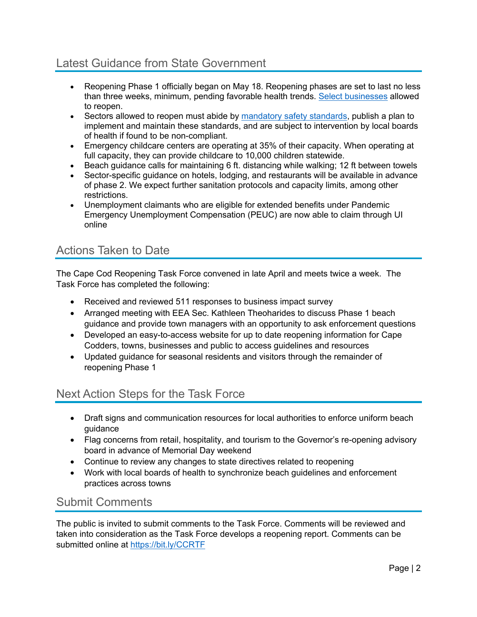### Latest Guidance from State Government

- Reopening Phase 1 officially began on May 18. Reopening phases are set to last no less than three weeks, minimum, pending favorable health trends. Select businesses allowed to reopen.
- Sectors allowed to reopen must abide by mandatory safety standards, publish a plan to implement and maintain these standards, and are subject to intervention by local boards of health if found to be non-compliant.
- Emergency childcare centers are operating at 35% of their capacity. When operating at full capacity, they can provide childcare to 10,000 children statewide.
- Beach guidance calls for maintaining 6 ft. distancing while walking; 12 ft between towels
- Sector-specific guidance on hotels, lodging, and restaurants will be available in advance of phase 2. We expect further sanitation protocols and capacity limits, among other restrictions.
- Unemployment claimants who are eligible for extended benefits under Pandemic Emergency Unemployment Compensation (PEUC) are now able to claim through UI online

#### Actions Taken to Date

The Cape Cod Reopening Task Force convened in late April and meets twice a week. The Task Force has completed the following:

- Received and reviewed 511 responses to business impact survey
- Arranged meeting with EEA Sec. Kathleen Theoharides to discuss Phase 1 beach guidance and provide town managers with an opportunity to ask enforcement questions
- Developed an easy-to-access website for up to date reopening information for Cape Codders, towns, businesses and public to access guidelines and resources
- Updated guidance for seasonal residents and visitors through the remainder of reopening Phase 1

#### Next Action Steps for the Task Force

- Draft signs and communication resources for local authorities to enforce uniform beach guidance
- Flag concerns from retail, hospitality, and tourism to the Governor's re-opening advisory board in advance of Memorial Day weekend
- Continue to review any changes to state directives related to reopening
- Work with local boards of health to synchronize beach guidelines and enforcement practices across towns

#### Submit Comments

The public is invited to submit comments to the Task Force. Comments will be reviewed and taken into consideration as the Task Force develops a reopening report. Comments can be submitted online at https://bit.ly/CCRTF